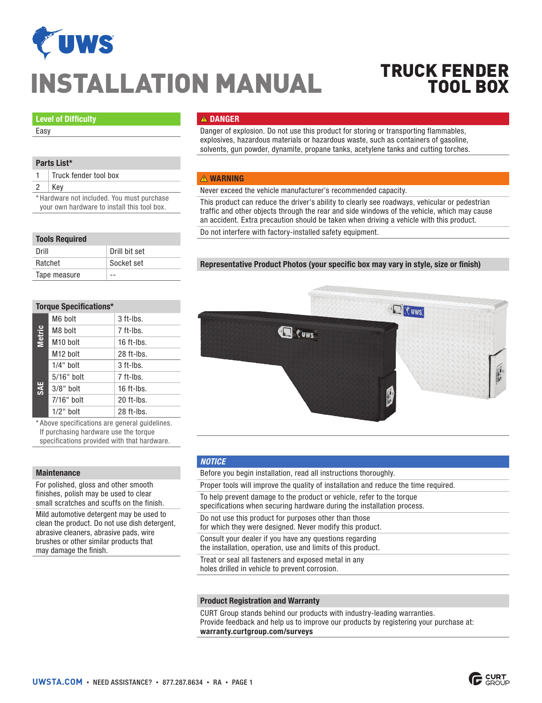

# INSTALLATION MANUAL

# TRUCK FENDER TOOL BOX

#### Level of Difficulty

Easy

#### Parts List\*

1 | Truck fender tool box

2 Key

\* Hardware not included. You must purchase your own hardware to install this tool box.

## **A DANGER**

Danger of explosion. Do not use this product for storing or transporting flammables, explosives, hazardous materials or hazardous waste, such as containers of gasoline, solvents, gun powder, dynamite, propane tanks, acetylene tanks and cutting torches.

#### **A WARNING**

Never exceed the vehicle manufacturer's recommended capacity.

This product can reduce the driver's ability to clearly see roadways, vehicular or pedestrian traffic and other objects through the rear and side windows of the vehicle, which may cause an accident. Extra precaution should be taken when driving a vehicle with this product.

Do not interfere with factory-installed safety equipment.

#### Tools Required

| Drill        | Drill bit set |
|--------------|---------------|
| Ratchet      | Socket set    |
| Tape measure |               |

#### Representative Product Photos (your specific box may vary in style, size or finish)



\* Above specifications are general guidelines. If purchasing hardware use the torque specifications provided with that hardware.

#### **Maintenance**

For polished, gloss and other smooth finishes, polish may be used to clear small scratches and scuffs on the finish. Mild automotive detergent may be used to clean the product. Do not use dish detergent, abrasive cleaners, abrasive pads, wire brushes or other similar products that may damage the finish.



#### *NOTICE*

Before you begin installation, read all instructions thoroughly. Proper tools will improve the quality of installation and reduce the time required. To help prevent damage to the product or vehicle, refer to the torque specifications when securing hardware during the installation process. Do not use this product for purposes other than those for which they were designed. Never modify this product. Consult your dealer if you have any questions regarding the installation, operation, use and limits of this product. Treat or seal all fasteners and exposed metal in any holes drilled in vehicle to prevent corrosion.

#### Product Registration and Warranty

CURT Group stands behind our products with industry-leading warranties. Provide feedback and help us to improve our products by registering your purchase at: warranty.curtgroup.com/surveys